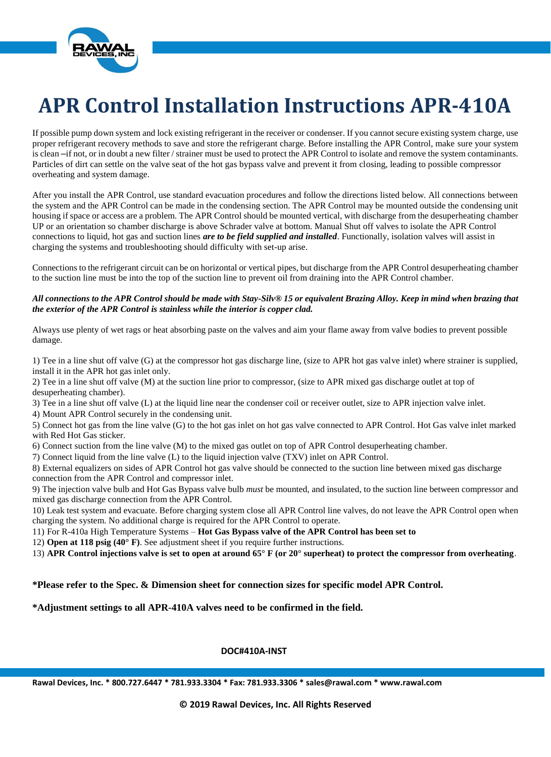

# **APR Control Installation Instructions APR-410A**

If possible pump down system and lock existing refrigerant in the receiver or condenser. If you cannot secure existing system charge, use proper refrigerant recovery methods to save and store the refrigerant charge. Before installing the APR Control, make sure your system is clean –if not, or in doubt a new filter / strainer must be used to protect the APR Control to isolate and remove the system contaminants. Particles of dirt can settle on the valve seat of the Compression Ratio Reduction valve (CRRV) and prevent it from closing, leading to possible compressor overheating and system damage.

After you install the APR Control, use standard evacuation procedures and follow the directions listed below. All connections between the system and the APR Control can be made in the condensing section. The APR Control may be mounted outside the condensing unit housing if space or access are a problem. The APR Control should be mounted vertical, with discharge from the desuperheating chamber UP or an orientation so chamber discharge is above Schrader valve at bottom. Manual Shut off valves to isolate the APR Control connections to liquid, discharge and suction lines *are to be field supplied and installed*. Functionally, isolation valves will assist in charging the systems and troubleshooting should difficulty with set-up arise.

Connections to the refrigerant circuit can be on horizontal or vertical pipes, but discharge from the APR Control desuperheating chamber to the suction line must be into the top of the suction line to prevent oil from draining into the APR Control chamber.

#### *All connections to the APR Control should be made with Stay-Silv® 15 or equivalent Brazing Alloy. Keep in mind when brazing that the exterior of the APR Control is stainless while the interior is copper clad.*

Always use plenty of wet rags or heat absorbing paste on the valves and aim your flame away from valve bodies to prevent possible damage.

1) Tee in a line shut off valve (G) at the compressor discharge line, (size to APR hot gas valve inlet) where strainer is supplied, install it in the APR hot gas inlet only.

2) Tee in a line shut off valve (M) at the suction line prior to compressor, (size to APR mixed gas discharge outlet at top of desuperheating chamber).

3) Tee in a line shut off valve (L) at the liquid line near the condenser coil or receiver outlet, size to APR injection valve inlet.

4) Mount APR Control securely in the condensing unit.

5) Connect discharge line from valve (G) to the inlet on CRRV valve connected to APR Control. CRRV valve inlet marked with Red Discharge Line sticker.

6) Connect suction from the line valve (M) to the mixed gas outlet on top of APR Control desuperheating chamber.

7) Connect liquid from the line valve (L) to the liquid injection valve (TXV) inlet on APR Control.

8) External equalizers on sides of APR Control Compression Ratio Reduction valve should be connected to the suction line between mixed gas discharge connection from the APR Control and compressor inlet.

9) The injection valve bulb and CRRV valve bulb *must* be mounted, and insulated, to the suction line between compressor and mixed gas discharge connection from the APR Control.

10) Leak test system and evacuate. Before charging system close all APR Control line valves, do not leave the APR Control open when charging the system. No additional charge is required for the APR Control to operate.

11) For R-410a High Temperature Systems – **Compression Ratio Reduction valve of the APR Control has been set to open at about 118 psig (40° F)**. See adjustment sheet if you require further instructions.

12) **APR Control Liquid Injection valve is set to open at around 65° F (or 20° superheat) to protect the compressor from overheating**.

**\*Please refer to the Spec. & Dimension sheet for connection sizes for specific model APR Control.**

**\*Adjustment settings to all APR-410A valves need to be confirmed in the field.**

### **DOC#410A-INST**

**Rawal Devices, Inc. \* 800.727.6447 \* 781.933.3304 \* Fax: 781.933.3306 \* sales@rawal.com \* www.rawal.com**